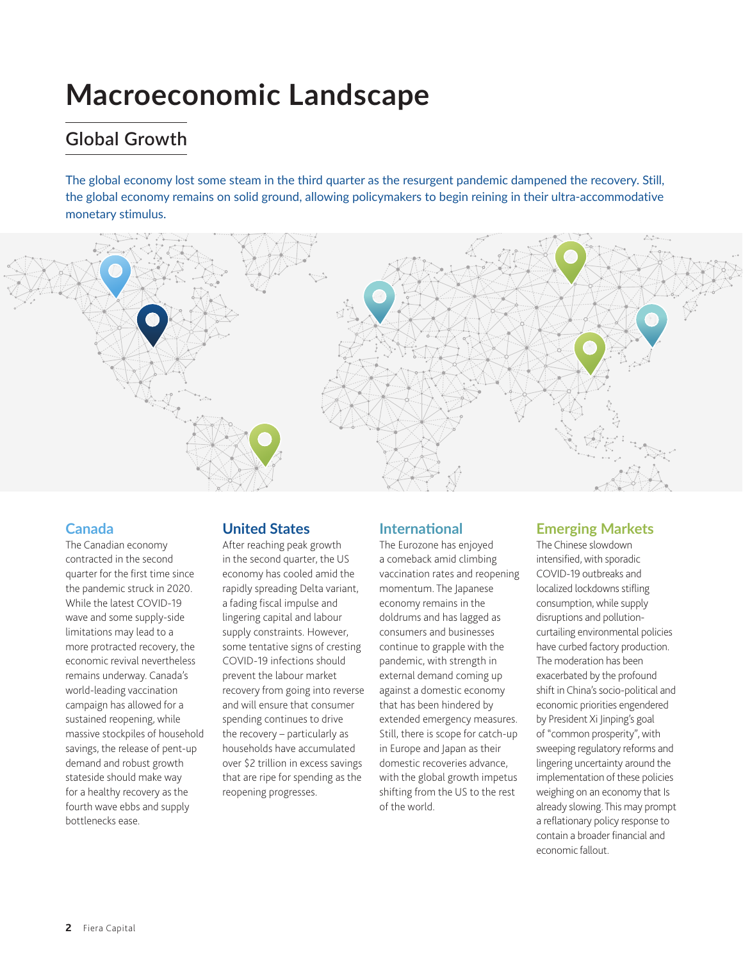# **Macroeconomic Landscape**

# **Global Growth**

The global economy lost some steam in the third quarter as the resurgent pandemic dampened the recovery. Still, the global economy remains on solid ground, allowing policymakers to begin reining in their ultra-accommodative monetary stimulus.



#### **Canada**

The Canadian economy contracted in the second quarter for the first time since the pandemic struck in 2020. While the latest COVID-19 wave and some supply-side limitations may lead to a more protracted recovery, the economic revival nevertheless remains underway. Canada's world-leading vaccination campaign has allowed for a sustained reopening, while massive stockpiles of household savings, the release of pent-up demand and robust growth stateside should make way for a healthy recovery as the fourth wave ebbs and supply bottlenecks ease.

### **United States**

After reaching peak growth in the second quarter, the US economy has cooled amid the rapidly spreading Delta variant, a fading fiscal impulse and lingering capital and labour supply constraints. However, some tentative signs of cresting COVID-19 infections should prevent the labour market recovery from going into reverse and will ensure that consumer spending continues to drive the recovery – particularly as households have accumulated over \$2 trillion in excess savings that are ripe for spending as the reopening progresses.

### **International**

The Eurozone has enjoyed a comeback amid climbing vaccination rates and reopening momentum. The Japanese economy remains in the doldrums and has lagged as consumers and businesses continue to grapple with the pandemic, with strength in external demand coming up against a domestic economy that has been hindered by extended emergency measures. Still, there is scope for catch-up in Europe and Japan as their domestic recoveries advance, with the global growth impetus shifting from the US to the rest of the world.

### **Emerging Markets**

The Chinese slowdown intensified, with sporadic COVID-19 outbreaks and localized lockdowns stifling consumption, while supply disruptions and pollutioncurtailing environmental policies have curbed factory production. The moderation has been exacerbated by the profound shift in China's socio-political and economic priorities engendered by President Xi Jinping's goal of "common prosperity", with sweeping regulatory reforms and lingering uncertainty around the implementation of these policies weighing on an economy that Is already slowing. This may prompt a reflationary policy response to contain a broader financial and economic fallout.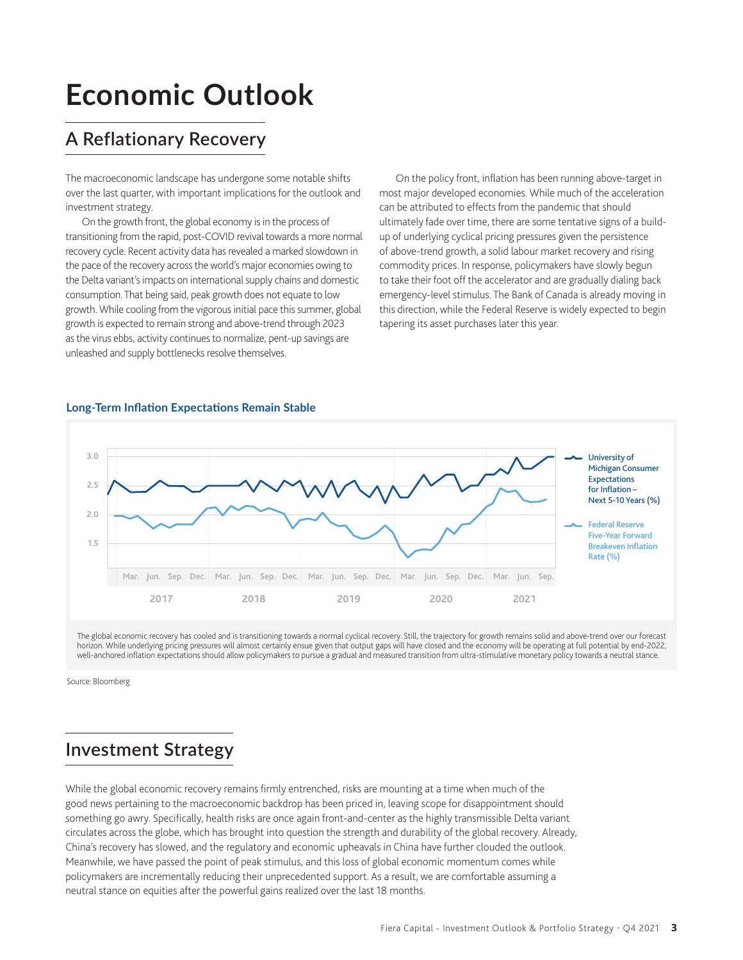# **Economic Outlook**

# **A Reflationary Recovery**

The macroeconomic landscape has undergone some notable shifts over the last quarter, with important implications for the outlook and investment strategy.

On the growth front, the global economy is in the process of transitioning from the rapid, post-COVID revival towards a more normal recovery cycle. Recent activity data has revealed a marked slowdown in the pace of the recovery across the world's major economies owing to the Delta variant's impacts on international supply chains and domestic consumption. That being said, peak growth does not equate to low growth. While cooling from the vigorous initial pace this summer, global growth is expected to remain strong and above-trend through 2023 as the virus ebbs, activity continues to normalize, pent-up savings are unleashed and supply bottlenecks resolve themselves.

On the policy front, inflation has been running above-target in most major developed economies. While much of the acceleration can be attributed to effects from the pandemic that should ultimately fade over time, there are some tentative signs of a buildup of underlying cyclical pricing pressures given the persistence of above-trend growth, a solid labour market recovery and rising commodity prices. In response, policymakers have slowly begun to take their foot off the accelerator and are gradually dialing back emergency-level stimulus. The Bank of Canada is already moving in this direction, while the Federal Reserve is widely expected to begin tapering its asset purchases later this year.



#### **Long-Term Inflation Expectations Remain Stable**

The global economic recovery has cooled and is transitioning towards a normal cyclical recovery. Still, the trajectory for growth remains solid and above-trend over our forecast horizon. While underlying pricing pressures will almost certainly ensue given that output gaps will have closed and the economy will be operating at full potential by end-2022, well-anchored inflation expectations should allow policymakers to pursue a gradual and measured transition from ultra-stimulative monetary policy towards a neutral stance.

Source: Bloomberg

### **Investment Strategy**

While the global economic recovery remains firmly entrenched, risks are mounting at a time when much of the good news pertaining to the macroeconomic backdrop has been priced in, leaving scope for disappointment should something go awry. Specifically, health risks are once again front-and-center as the highly transmissible Delta variant circulates across the globe, which has brought into question the strength and durability of the global recovery. Already, China's recovery has slowed, and the regulatory and economic upheavals in China have further clouded the outlook. Meanwhile, we have passed the point of peak stimulus, and this loss of global economic momentum comes while policymakers are incrementally reducing their unprecedented support. As a result, we are comfortable assuming a neutral stance on equities after the powerful gains realized over the last 18 months.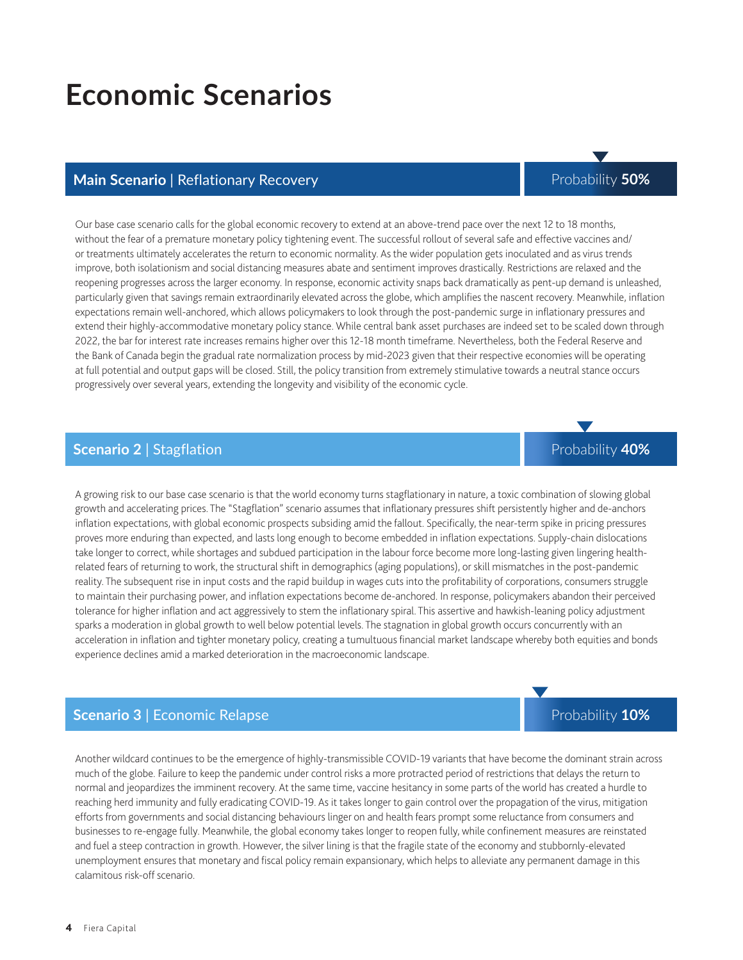# **Economic Scenarios**

### **Main Scenario | Reflationary Recovery Probability 50%** Probability 50%

#### Our base case scenario calls for the global economic recovery to extend at an above-trend pace over the next 12 to 18 months, without the fear of a premature monetary policy tightening event. The successful rollout of several safe and effective vaccines and/ or treatments ultimately accelerates the return to economic normality. As the wider population gets inoculated and as virus trends improve, both isolationism and social distancing measures abate and sentiment improves drastically. Restrictions are relaxed and the reopening progresses across the larger economy. In response, economic activity snaps back dramatically as pent-up demand is unleashed, particularly given that savings remain extraordinarily elevated across the globe, which amplifies the nascent recovery. Meanwhile, inflation expectations remain well-anchored, which allows policymakers to look through the post-pandemic surge in inflationary pressures and extend their highly-accommodative monetary policy stance. While central bank asset purchases are indeed set to be scaled down through 2022, the bar for interest rate increases remains higher over this 12-18 month timeframe. Nevertheless, both the Federal Reserve and the Bank of Canada begin the gradual rate normalization process by mid-2023 given that their respective economies will be operating at full potential and output gaps will be closed. Still, the policy transition from extremely stimulative towards a neutral stance occurs progressively over several years, extending the longevity and visibility of the economic cycle.

#### **Scenario 2** | Stagflation

A growing risk to our base case scenario is that the world economy turns stagflationary in nature, a toxic combination of slowing global growth and accelerating prices. The "Stagflation" scenario assumes that inflationary pressures shift persistently higher and de-anchors inflation expectations, with global economic prospects subsiding amid the fallout. Specifically, the near-term spike in pricing pressures proves more enduring than expected, and lasts long enough to become embedded in inflation expectations. Supply-chain dislocations take longer to correct, while shortages and subdued participation in the labour force become more long-lasting given lingering healthrelated fears of returning to work, the structural shift in demographics (aging populations), or skill mismatches in the post-pandemic reality. The subsequent rise in input costs and the rapid buildup in wages cuts into the profitability of corporations, consumers struggle to maintain their purchasing power, and inflation expectations become de-anchored. In response, policymakers abandon their perceived tolerance for higher inflation and act aggressively to stem the inflationary spiral. This assertive and hawkish-leaning policy adjustment sparks a moderation in global growth to well below potential levels. The stagnation in global growth occurs concurrently with an acceleration in inflation and tighter monetary policy, creating a tumultuous financial market landscape whereby both equities and bonds experience declines amid a marked deterioration in the macroeconomic landscape.

#### **Scenario 3** | Economic Relapse

Another wildcard continues to be the emergence of highly-transmissible COVID-19 variants that have become the dominant strain across much of the globe. Failure to keep the pandemic under control risks a more protracted period of restrictions that delays the return to normal and jeopardizes the imminent recovery. At the same time, vaccine hesitancy in some parts of the world has created a hurdle to reaching herd immunity and fully eradicating COVID-19. As it takes longer to gain control over the propagation of the virus, mitigation efforts from governments and social distancing behaviours linger on and health fears prompt some reluctance from consumers and businesses to re-engage fully. Meanwhile, the global economy takes longer to reopen fully, while confinement measures are reinstated and fuel a steep contraction in growth. However, the silver lining is that the fragile state of the economy and stubbornly-elevated unemployment ensures that monetary and fiscal policy remain expansionary, which helps to alleviate any permanent damage in this calamitous risk-off scenario.

Probability **10%**

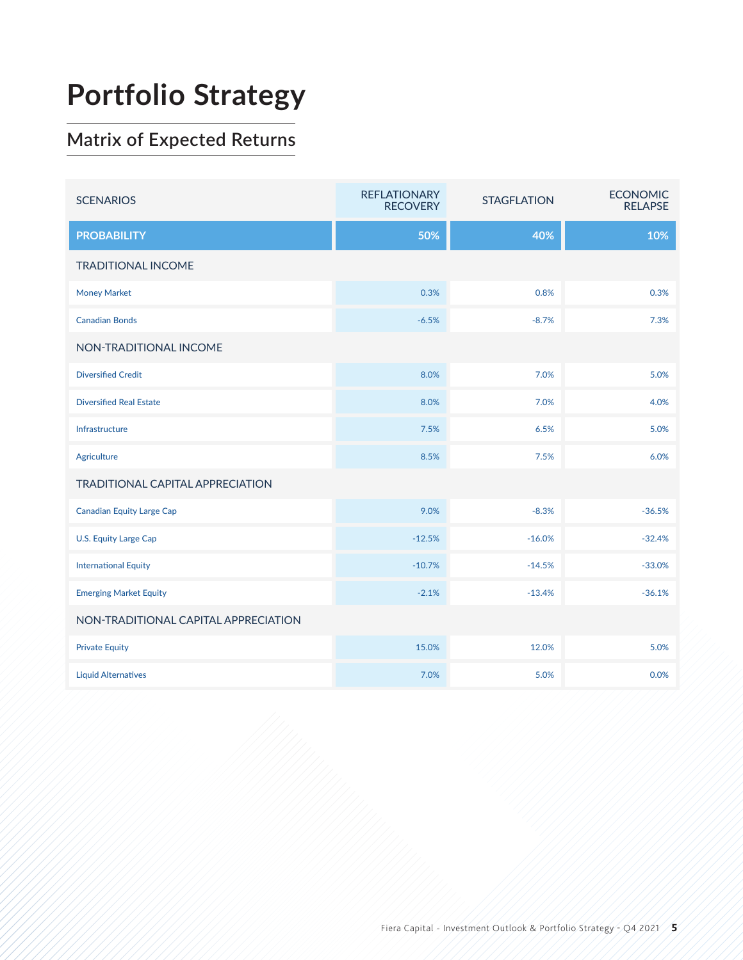# **Portfolio Strategy**

# **Matrix of Expected Returns**

| <b>SCENARIOS</b>                        | <b>REFLATIONARY</b><br><b>RECOVERY</b> | <b>STAGFLATION</b> | <b>ECONOMIC</b><br><b>RELAPSE</b> |  |  |
|-----------------------------------------|----------------------------------------|--------------------|-----------------------------------|--|--|
| <b>PROBABILITY</b>                      | 50%                                    | 40%                | 10%                               |  |  |
| <b>TRADITIONAL INCOME</b>               |                                        |                    |                                   |  |  |
| <b>Money Market</b>                     | 0.3%                                   | 0.8%               | 0.3%                              |  |  |
| <b>Canadian Bonds</b>                   | $-6.5%$                                | $-8.7%$            | 7.3%                              |  |  |
| NON-TRADITIONAL INCOME                  |                                        |                    |                                   |  |  |
| <b>Diversified Credit</b>               | 8.0%                                   | 7.0%               | 5.0%                              |  |  |
| <b>Diversified Real Estate</b>          | 8.0%                                   | 7.0%               | 4.0%                              |  |  |
| Infrastructure                          | 7.5%                                   | 6.5%               | 5.0%                              |  |  |
| <b>Agriculture</b>                      | 8.5%                                   | 7.5%               | 6.0%                              |  |  |
| <b>TRADITIONAL CAPITAL APPRECIATION</b> |                                        |                    |                                   |  |  |
| <b>Canadian Equity Large Cap</b>        | 9.0%                                   | $-8.3%$            | $-36.5%$                          |  |  |
| <b>U.S. Equity Large Cap</b>            | $-12.5%$                               | $-16.0%$           | $-32.4%$                          |  |  |
| <b>International Equity</b>             | $-10.7%$                               | $-14.5%$           | $-33.0%$                          |  |  |
| <b>Emerging Market Equity</b>           | $-2.1%$                                | $-13.4%$           | $-36.1%$                          |  |  |
| NON-TRADITIONAL CAPITAL APPRECIATION    |                                        |                    |                                   |  |  |
| <b>Private Equity</b>                   | 15.0%                                  | 12.0%              | 5.0%                              |  |  |
| <b>Liquid Alternatives</b>              | 7.0%                                   | 5.0%               | 0.0%                              |  |  |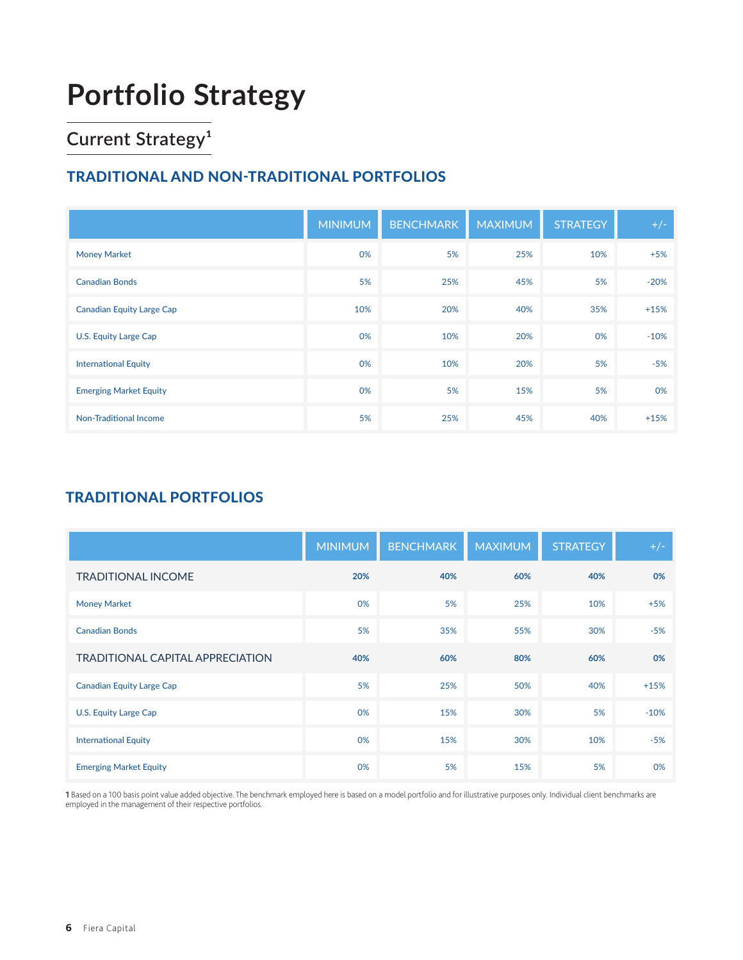# **Portfolio Strategy**

# **Current Strategy<sup>1</sup>**

### TRADITIONAL AND NON-TRADITIONAL PORTFOLIOS

|                                  | <b>MINIMUM</b> | <b>BENCHMARK</b> | <b>MAXIMUM</b> | <b>STRATEGY</b> | $+/-$  |
|----------------------------------|----------------|------------------|----------------|-----------------|--------|
| <b>Money Market</b>              | 0%             | 5%               | 25%            | 10%             | $+5%$  |
| <b>Canadian Bonds</b>            | 5%             | 25%              | 45%            | 5%              | $-20%$ |
| <b>Canadian Equity Large Cap</b> | 10%            | 20%              | 40%            | 35%             | $+15%$ |
| U.S. Equity Large Cap            | 0%             | 10%              | 20%            | 0%              | $-10%$ |
| <b>International Equity</b>      | 0%             | 10%              | 20%            | 5%              | $-5%$  |
| <b>Emerging Market Equity</b>    | 0%             | 5%               | 15%            | 5%              | 0%     |
| <b>Non-Traditional Income</b>    | 5%             | 25%              | 45%            | 40%             | $+15%$ |

### TRADITIONAL PORTFOLIOS

|                                         | <b>MINIMUM</b> | <b>BENCHMARK</b> | <b>MAXIMUM</b> | <b>STRATEGY</b> | $+/-$  |
|-----------------------------------------|----------------|------------------|----------------|-----------------|--------|
| <b>TRADITIONAL INCOME</b>               | 20%            | 40%              | 60%            | 40%             | 0%     |
| <b>Money Market</b>                     | 0%             | 5%               | 25%            | 10%             | $+5%$  |
| <b>Canadian Bonds</b>                   | 5%             | 35%              | 55%            | 30%             | $-5%$  |
| <b>TRADITIONAL CAPITAL APPRECIATION</b> | 40%            | 60%              | 80%            | 60%             | 0%     |
| <b>Canadian Equity Large Cap</b>        | 5%             | 25%              | 50%            | 40%             | $+15%$ |
| U.S. Equity Large Cap                   | 0%             | 15%              | 30%            | 5%              | $-10%$ |
| <b>International Equity</b>             | 0%             | 15%              | 30%            | 10%             | $-5%$  |
| <b>Emerging Market Equity</b>           | 0%             | 5%               | 15%            | 5%              | 0%     |

**1** Based on a 100 basis point value added objective. The benchmark employed here is based on a model portfolio and for illustrative purposes only. Individual client benchmarks are<br>employed in the management of their respe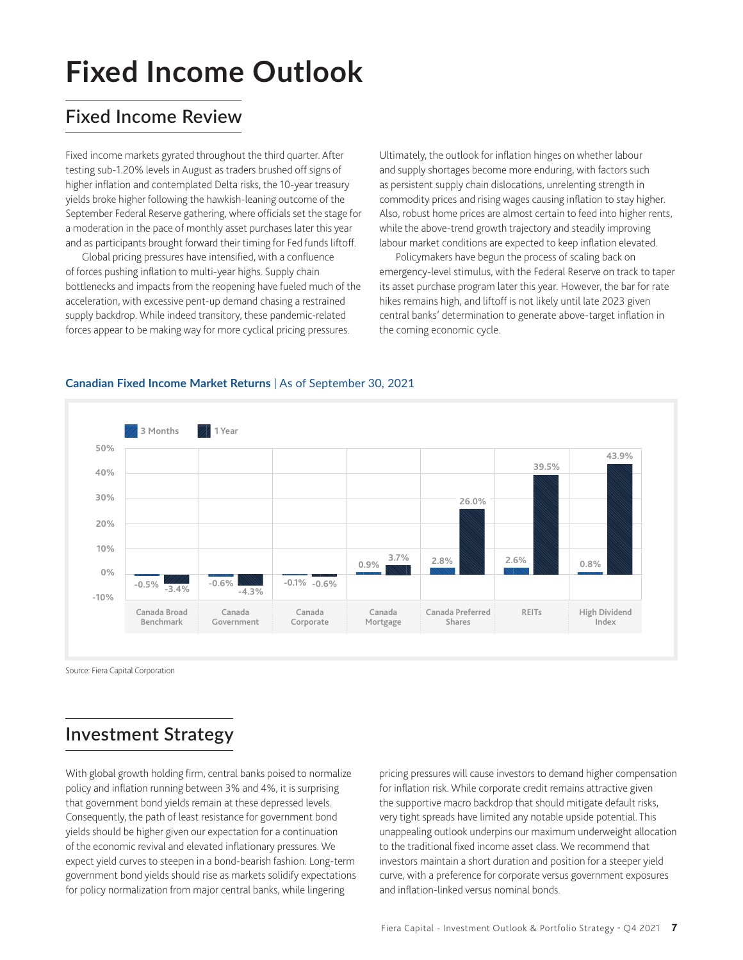# **Fixed Income Outlook**

# **Fixed Income Review**

Fixed income markets gyrated throughout the third quarter. After testing sub-1.20% levels in August as traders brushed off signs of higher inflation and contemplated Delta risks, the 10-year treasury yields broke higher following the hawkish-leaning outcome of the September Federal Reserve gathering, where officials set the stage for a moderation in the pace of monthly asset purchases later this year and as participants brought forward their timing for Fed funds liftoff.

Global pricing pressures have intensified, with a confluence of forces pushing inflation to multi-year highs. Supply chain bottlenecks and impacts from the reopening have fueled much of the acceleration, with excessive pent-up demand chasing a restrained supply backdrop. While indeed transitory, these pandemic-related forces appear to be making way for more cyclical pricing pressures.

Ultimately, the outlook for inflation hinges on whether labour and supply shortages become more enduring, with factors such as persistent supply chain dislocations, unrelenting strength in commodity prices and rising wages causing inflation to stay higher. Also, robust home prices are almost certain to feed into higher rents, while the above-trend growth trajectory and steadily improving labour market conditions are expected to keep inflation elevated.

Policymakers have begun the process of scaling back on emergency-level stimulus, with the Federal Reserve on track to taper its asset purchase program later this year. However, the bar for rate hikes remains high, and liftoff is not likely until late 2023 given central banks' determination to generate above-target inflation in the coming economic cycle.



#### **Canadian Fixed Income Market Returns** | As of September 30, 2021

Source: Fiera Capital Corporation

### **Investment Strategy**

With global growth holding firm, central banks poised to normalize policy and inflation running between 3% and 4%, it is surprising that government bond yields remain at these depressed levels. Consequently, the path of least resistance for government bond yields should be higher given our expectation for a continuation of the economic revival and elevated inflationary pressures. We expect yield curves to steepen in a bond-bearish fashion. Long-term government bond yields should rise as markets solidify expectations for policy normalization from major central banks, while lingering

pricing pressures will cause investors to demand higher compensation for inflation risk. While corporate credit remains attractive given the supportive macro backdrop that should mitigate default risks, very tight spreads have limited any notable upside potential. This unappealing outlook underpins our maximum underweight allocation to the traditional fixed income asset class. We recommend that investors maintain a short duration and position for a steeper yield curve, with a preference for corporate versus government exposures and inflation-linked versus nominal bonds.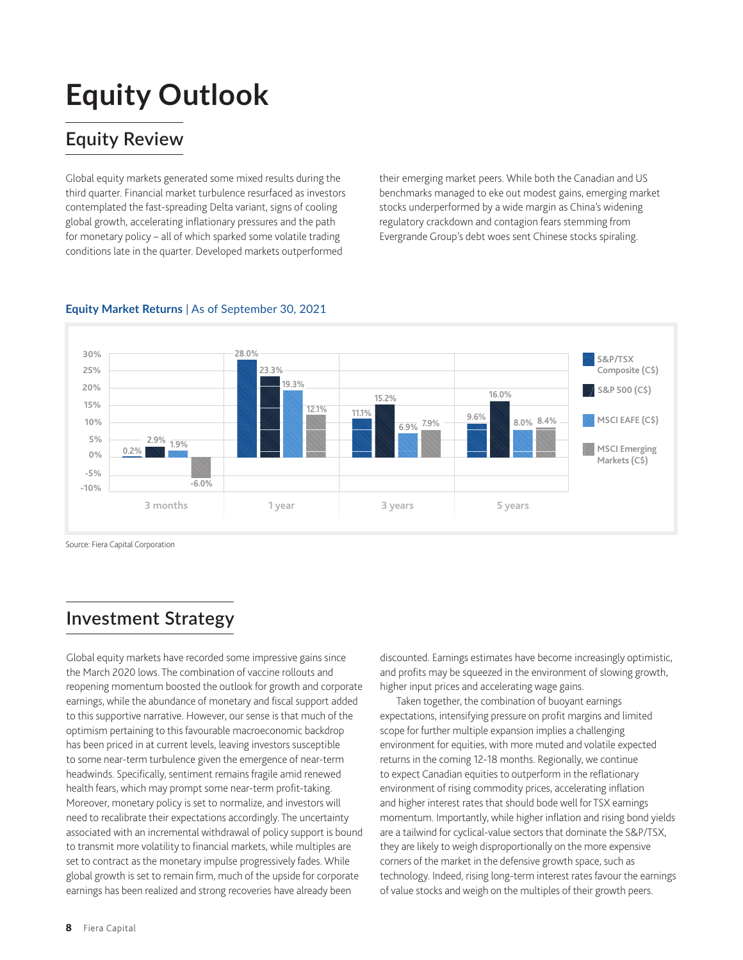# **Equity Outlook**

# **Equity Review**

Global equity markets generated some mixed results during the third quarter. Financial market turbulence resurfaced as investors contemplated the fast-spreading Delta variant, signs of cooling global growth, accelerating inflationary pressures and the path for monetary policy – all of which sparked some volatile trading conditions late in the quarter. Developed markets outperformed

their emerging market peers. While both the Canadian and US benchmarks managed to eke out modest gains, emerging market stocks underperformed by a wide margin as China's widening regulatory crackdown and contagion fears stemming from Evergrande Group's debt woes sent Chinese stocks spiraling.



#### **Equity Market Returns** | As of September 30, 2021

Source: Fiera Capital Corporation

# **Investment Strategy**

Global equity markets have recorded some impressive gains since the March 2020 lows. The combination of vaccine rollouts and reopening momentum boosted the outlook for growth and corporate earnings, while the abundance of monetary and fiscal support added to this supportive narrative. However, our sense is that much of the optimism pertaining to this favourable macroeconomic backdrop has been priced in at current levels, leaving investors susceptible to some near-term turbulence given the emergence of near-term headwinds. Specifically, sentiment remains fragile amid renewed health fears, which may prompt some near-term profit-taking. Moreover, monetary policy is set to normalize, and investors will need to recalibrate their expectations accordingly. The uncertainty associated with an incremental withdrawal of policy support is bound to transmit more volatility to financial markets, while multiples are set to contract as the monetary impulse progressively fades. While global growth is set to remain firm, much of the upside for corporate earnings has been realized and strong recoveries have already been

discounted. Earnings estimates have become increasingly optimistic, and profits may be squeezed in the environment of slowing growth, higher input prices and accelerating wage gains.

Taken together, the combination of buoyant earnings expectations, intensifying pressure on profit margins and limited scope for further multiple expansion implies a challenging environment for equities, with more muted and volatile expected returns in the coming 12-18 months. Regionally, we continue to expect Canadian equities to outperform in the reflationary environment of rising commodity prices, accelerating inflation and higher interest rates that should bode well for TSX earnings momentum. Importantly, while higher inflation and rising bond yields are a tailwind for cyclical-value sectors that dominate the S&P/TSX, they are likely to weigh disproportionally on the more expensive corners of the market in the defensive growth space, such as technology. Indeed, rising long-term interest rates favour the earnings of value stocks and weigh on the multiples of their growth peers.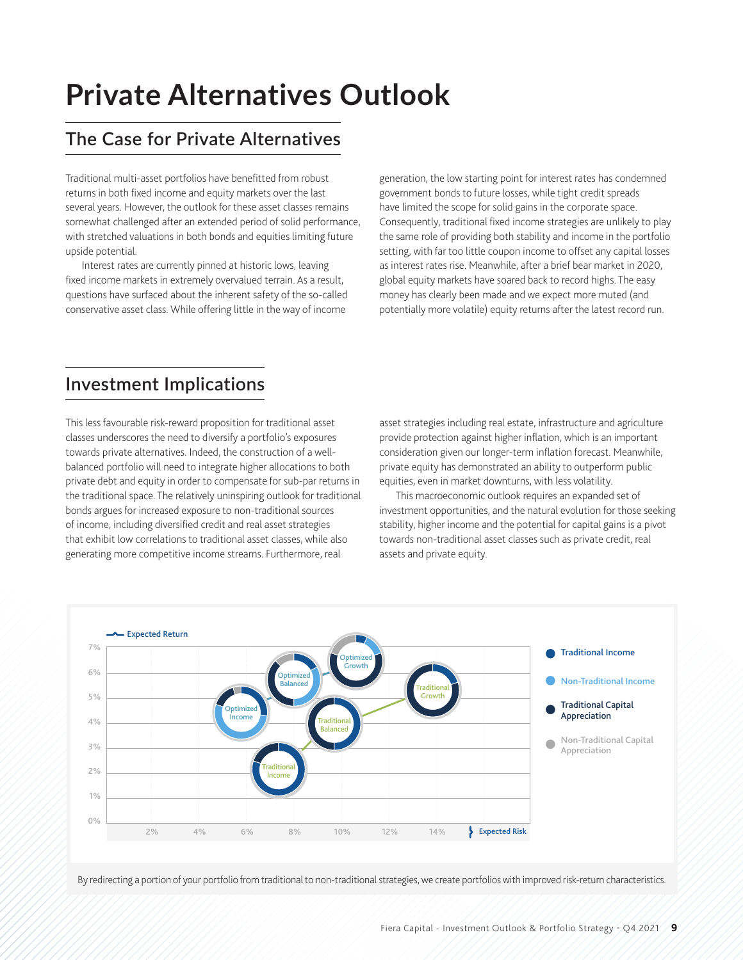# **Private Alternatives Outlook**

# **The Case for Private Alternatives**

Traditional multi-asset portfolios have benefitted from robust returns in both fixed income and equity markets over the last several years. However, the outlook for these asset classes remains somewhat challenged after an extended period of solid performance, with stretched valuations in both bonds and equities limiting future upside potential.

Interest rates are currently pinned at historic lows, leaving fixed income markets in extremely overvalued terrain. As a result, questions have surfaced about the inherent safety of the so-called conservative asset class. While offering little in the way of income

generation, the low starting point for interest rates has condemned government bonds to future losses, while tight credit spreads have limited the scope for solid gains in the corporate space. Consequently, traditional fixed income strategies are unlikely to play the same role of providing both stability and income in the portfolio setting, with far too little coupon income to offset any capital losses as interest rates rise. Meanwhile, after a brief bear market in 2020, global equity markets have soared back to record highs. The easy money has clearly been made and we expect more muted (and potentially more volatile) equity returns after the latest record run.

### **Investment Implications**

This less favourable risk-reward proposition for traditional asset classes underscores the need to diversify a portfolio's exposures towards private alternatives. Indeed, the construction of a wellbalanced portfolio will need to integrate higher allocations to both private debt and equity in order to compensate for sub-par returns in the traditional space. The relatively uninspiring outlook for traditional bonds argues for increased exposure to non-traditional sources of income, including diversified credit and real asset strategies that exhibit low correlations to traditional asset classes, while also generating more competitive income streams. Furthermore, real

asset strategies including real estate, infrastructure and agriculture provide protection against higher inflation, which is an important consideration given our longer-term inflation forecast. Meanwhile, private equity has demonstrated an ability to outperform public equities, even in market downturns, with less volatility.

This macroeconomic outlook requires an expanded set of investment opportunities, and the natural evolution for those seeking stability, higher income and the potential for capital gains is a pivot towards non-traditional asset classes such as private credit, real assets and private equity.



By redirecting a portion of your portfolio from traditional to non-traditional strategies, we create portfolios with improved risk-return characteristics.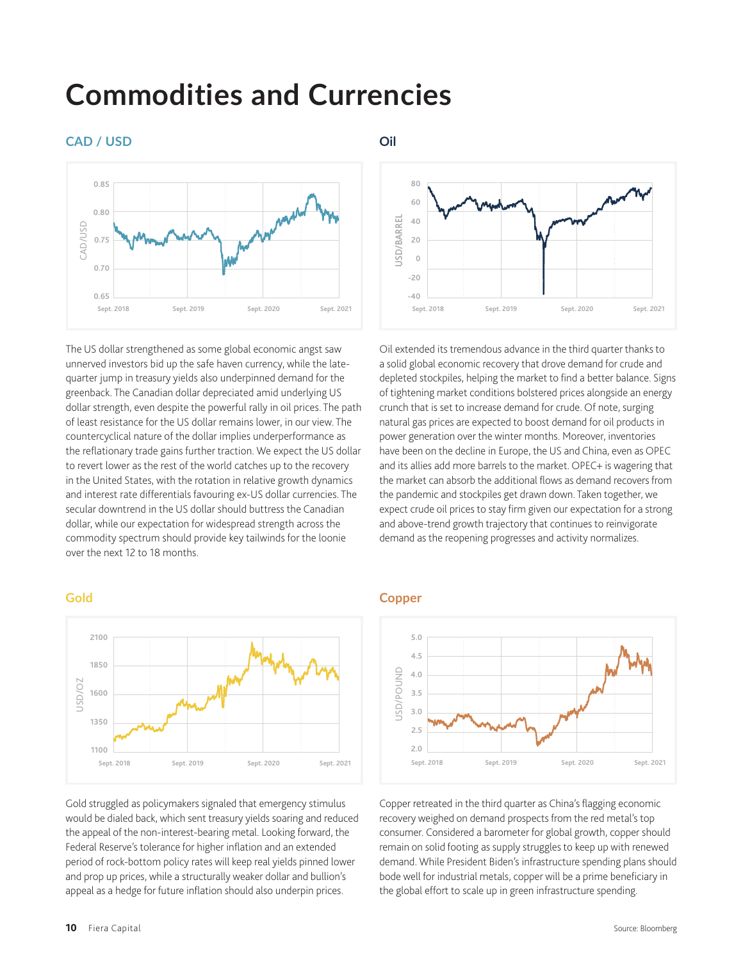# **Commodities and Currencies**

#### **CAD / USD**



The US dollar strengthened as some global economic angst saw unnerved investors bid up the safe haven currency, while the latequarter jump in treasury yields also underpinned demand for the greenback. The Canadian dollar depreciated amid underlying US dollar strength, even despite the powerful rally in oil prices. The path of least resistance for the US dollar remains lower, in our view. The countercyclical nature of the dollar implies underperformance as the reflationary trade gains further traction. We expect the US dollar to revert lower as the rest of the world catches up to the recovery in the United States, with the rotation in relative growth dynamics and interest rate differentials favouring ex-US dollar currencies. The secular downtrend in the US dollar should buttress the Canadian dollar, while our expectation for widespread strength across the commodity spectrum should provide key tailwinds for the loonie over the next 12 to 18 months.

#### **Gold**



Gold struggled as policymakers signaled that emergency stimulus would be dialed back, which sent treasury yields soaring and reduced the appeal of the non-interest-bearing metal. Looking forward, the Federal Reserve's tolerance for higher inflation and an extended period of rock-bottom policy rates will keep real yields pinned lower and prop up prices, while a structurally weaker dollar and bullion's appeal as a hedge for future inflation should also underpin prices.

#### **Oil**



Oil extended its tremendous advance in the third quarter thanks to a solid global economic recovery that drove demand for crude and depleted stockpiles, helping the market to find a better balance. Signs of tightening market conditions bolstered prices alongside an energy crunch that is set to increase demand for crude. Of note, surging natural gas prices are expected to boost demand for oil products in power generation over the winter months. Moreover, inventories have been on the decline in Europe, the US and China, even as OPEC and its allies add more barrels to the market. OPEC+ is wagering that the market can absorb the additional flows as demand recovers from the pandemic and stockpiles get drawn down. Taken together, we expect crude oil prices to stay firm given our expectation for a strong and above-trend growth trajectory that continues to reinvigorate demand as the reopening progresses and activity normalizes.

#### **Copper**



Copper retreated in the third quarter as China's flagging economic recovery weighed on demand prospects from the red metal's top consumer. Considered a barometer for global growth, copper should remain on solid footing as supply struggles to keep up with renewed demand. While President Biden's infrastructure spending plans should bode well for industrial metals, copper will be a prime beneficiary in the global effort to scale up in green infrastructure spending.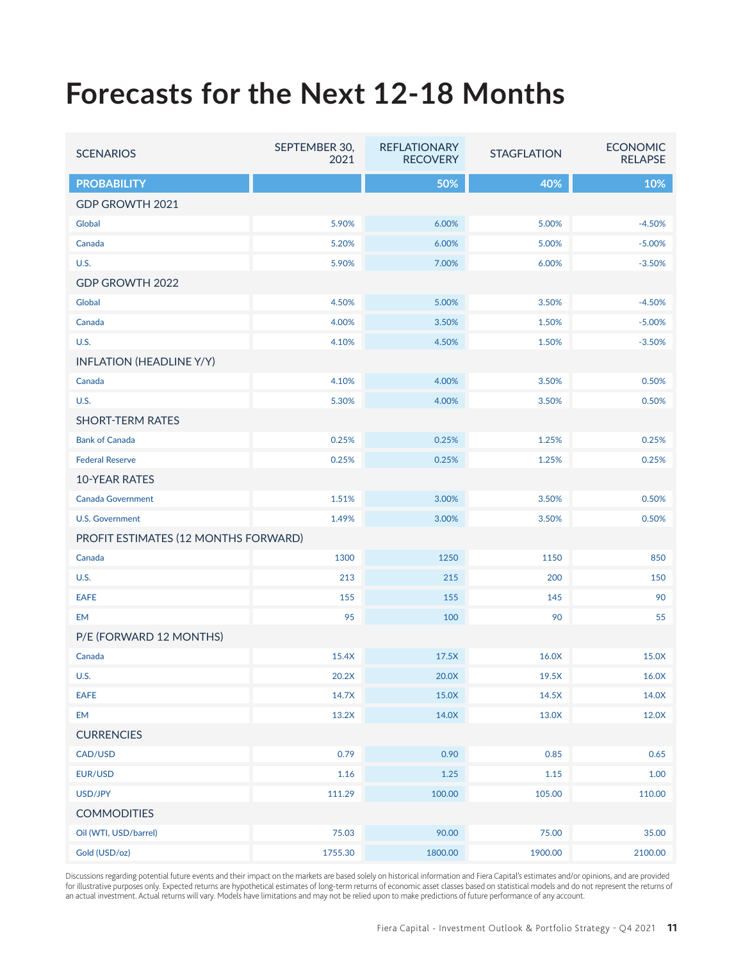# **Forecasts for the Next 12-18 Months**

| <b>SCENARIOS</b>                     | SEPTEMBER 30,<br>2021 | <b>REFLATIONARY</b><br><b>RECOVERY</b> | <b>STAGFLATION</b> | <b>ECONOMIC</b><br><b>RELAPSE</b> |  |  |
|--------------------------------------|-----------------------|----------------------------------------|--------------------|-----------------------------------|--|--|
| <b>PROBABILITY</b>                   |                       | 50%                                    | 40%                | 10%                               |  |  |
| GDP GROWTH 2021                      |                       |                                        |                    |                                   |  |  |
| Global                               | 5.90%                 | 6.00%                                  | 5.00%              | $-4.50%$                          |  |  |
| Canada                               | 5.20%                 | 6.00%                                  | 5.00%              | $-5.00%$                          |  |  |
| U.S.                                 | 5.90%                 | 7.00%                                  | 6.00%              | $-3.50%$                          |  |  |
| GDP GROWTH 2022                      |                       |                                        |                    |                                   |  |  |
| Global                               | 4.50%                 | 5.00%                                  | 3.50%              | $-4.50%$                          |  |  |
| Canada                               | 4.00%                 | 3.50%                                  | 1.50%              | $-5.00%$                          |  |  |
| <b>U.S.</b>                          | 4.10%                 | 4.50%                                  | 1.50%              | $-3.50%$                          |  |  |
| <b>INFLATION (HEADLINE Y/Y)</b>      |                       |                                        |                    |                                   |  |  |
| Canada                               | 4.10%                 | 4.00%                                  | 3.50%              | 0.50%                             |  |  |
| <b>U.S.</b>                          | 5.30%                 | 4.00%                                  | 3.50%              | 0.50%                             |  |  |
| <b>SHORT-TERM RATES</b>              |                       |                                        |                    |                                   |  |  |
| <b>Bank of Canada</b>                | 0.25%                 | 0.25%                                  | 1.25%              | 0.25%                             |  |  |
| <b>Federal Reserve</b>               | 0.25%                 | 0.25%                                  | 1.25%              | 0.25%                             |  |  |
| <b>10-YEAR RATES</b>                 |                       |                                        |                    |                                   |  |  |
| <b>Canada Government</b>             | 1.51%                 | 3.00%                                  | 3.50%              | 0.50%                             |  |  |
| <b>U.S. Government</b>               | 1.49%                 | 3.00%                                  | 3.50%              | 0.50%                             |  |  |
| PROFIT ESTIMATES (12 MONTHS FORWARD) |                       |                                        |                    |                                   |  |  |
| Canada                               | 1300                  | 1250                                   | 1150               | 850                               |  |  |
| <b>U.S.</b>                          | 213                   | 215                                    | 200                | 150                               |  |  |
| <b>EAFE</b>                          | 155                   | 155                                    | 145                | 90                                |  |  |
| <b>EM</b>                            | 95                    | 100                                    | 90                 | 55                                |  |  |
| P/E (FORWARD 12 MONTHS)              |                       |                                        |                    |                                   |  |  |
| Canada                               | 15.4X                 | 17.5X                                  | 16.0X              | 15.0X                             |  |  |
| <b>U.S.</b>                          | 20.2X                 | 20.0X                                  | 19.5X              | 16.0X                             |  |  |
| <b>EAFE</b>                          | 14.7X                 | 15.0X                                  | 14.5X              | 14.0X                             |  |  |
| <b>EM</b>                            | 13.2X                 | 14.0X                                  | 13.0X              | 12.0X                             |  |  |
| <b>CURRENCIES</b>                    |                       |                                        |                    |                                   |  |  |
| CAD/USD                              | 0.79                  | 0.90                                   | 0.85               | 0.65                              |  |  |
| EUR/USD                              | $1.16\,$              | 1.25                                   | 1.15               | 1.00                              |  |  |
| USD/JPY                              | 111.29                | 100.00                                 | 105.00             | 110.00                            |  |  |
| <b>COMMODITIES</b>                   |                       |                                        |                    |                                   |  |  |
| Oil (WTI, USD/barrel)                | 75.03                 | 90.00                                  | 75.00              | 35.00                             |  |  |
| Gold (USD/oz)                        | 1755.30               | 1800.00                                | 1900.00            | 2100.00                           |  |  |

Discussions regarding potential future events and their impact on the markets are based solely on historical information and Fiera Capital's estimates and/or opinions, and are provided for illustrative purposes only. Expected returns are hypothetical estimates of long-term returns of economic asset classes based on statistical models and do not represent the returns of an actual investment. Actual returns will vary. Models have limitations and may not be relied upon to make predictions of future performance of any account.